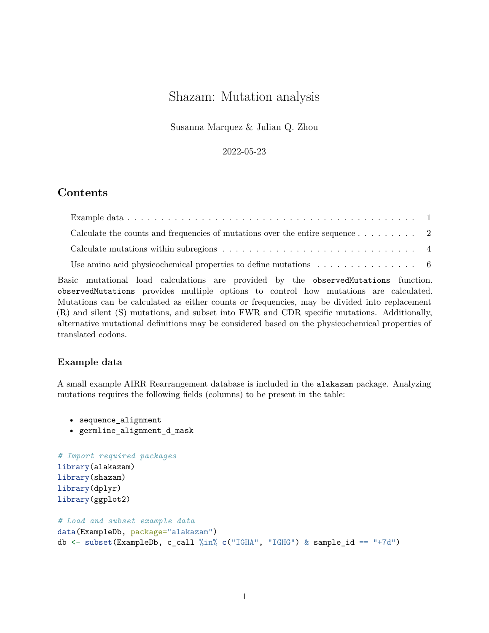# Shazam: Mutation analysis

Susanna Marquez & Julian Q. Zhou

2022-05-23

## **Contents**

| Calculate the counts and frequencies of mutations over the entire sequence $\ldots \ldots \ldots$ |  |
|---------------------------------------------------------------------------------------------------|--|
|                                                                                                   |  |
| Use amino acid physicochemical properties to define mutations $\dots \dots \dots \dots \dots$     |  |

Basic mutational load calculations are provided by the observedMutations function. observedMutations provides multiple options to control how mutations are calculated. Mutations can be calculated as either counts or frequencies, may be divided into replacement (R) and silent (S) mutations, and subset into FWR and CDR specific mutations. Additionally, alternative mutational definitions may be considered based on the physicochemical properties of translated codons.

## <span id="page-0-0"></span>**Example data**

A small example AIRR Rearrangement database is included in the alakazam package. Analyzing mutations requires the following fields (columns) to be present in the table:

• sequence\_alignment

• germline\_alignment\_d\_mask

```
# Import required packages
library(alakazam)
library(shazam)
library(dplyr)
library(ggplot2)
```

```
# Load and subset example data
data(ExampleDb, package="alakazam")
db <- subset(ExampleDb, c_call %in% c("IGHA", "IGHG") & sample_id == "+7d")
```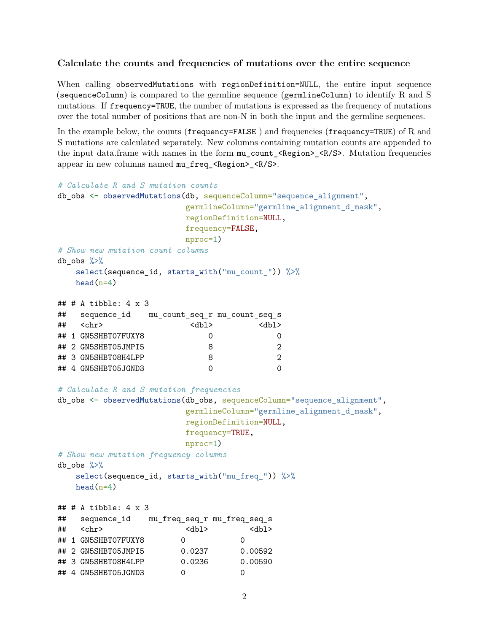#### <span id="page-1-0"></span>**Calculate the counts and frequencies of mutations over the entire sequence**

When calling observedMutations with regionDefinition=NULL, the entire input sequence (sequenceColumn) is compared to the germline sequence (germlineColumn) to identify R and S mutations. If frequency=TRUE, the number of mutations is expressed as the frequency of mutations over the total number of positions that are non-N in both the input and the germline sequences.

In the example below, the counts (frequency=FALSE) and frequencies (frequency=TRUE) of R and S mutations are calculated separately. New columns containing mutation counts are appended to the input data.frame with names in the form  $mu_{\text{count}}$  <Region> <R/S>. Mutation frequencies appear in new columns named mu\_freq\_<Region> <R/S>.

```
# Calculate R and S mutation counts
db obs <- observedMutations(db, sequenceColumn="sequence alignment",
                       germlineColumn="germline_alignment_d_mask",
                       regionDefinition=NULL,
                       frequency=FALSE,
                       nproc=1)
# Show new mutation count columns
db_obs %>%
   select(sequence_id, starts_with("mu_count_")) %>%
   head(n=4)## # A tibble: 4 x 3
## sequence_id mu_count_seq_r mu_count_seq_s
## <chr> <dbl> <dbl>
## 1 GN5SHBT07FUXY8 0 0
## 2 GN5SHBT05JMPI5 8 2
## 3 GN5SHBT08H4LPP 8 2
## 4 GN5SHBT05JGND3 0 0
# Calculate R and S mutation frequencies
db_obs <- observedMutations(db_obs, sequenceColumn="sequence_alignment",
                       germlineColumn="germline_alignment_d_mask",
                       regionDefinition=NULL,
                       frequency=TRUE,
                       nproc=1)
# Show new mutation frequency columns
db_obs \frac{9}{2}select(sequence_id, starts_with("mu_freq_")) %>%
   head(n=4)## # A tibble: 4 x 3
## sequence_id mu_freq_seq_r mu_freq_seq_s
## <chr> <dbl> <dbl>
## 1 GN5SHBT07FUXY8 0 0
## 2 GN5SHBT05JMPI5 0.0237 0.00592
## 3 GN5SHBT08H4LPP 0.0236 0.00590
## 4 GN5SHBT05JGND3 0 0
```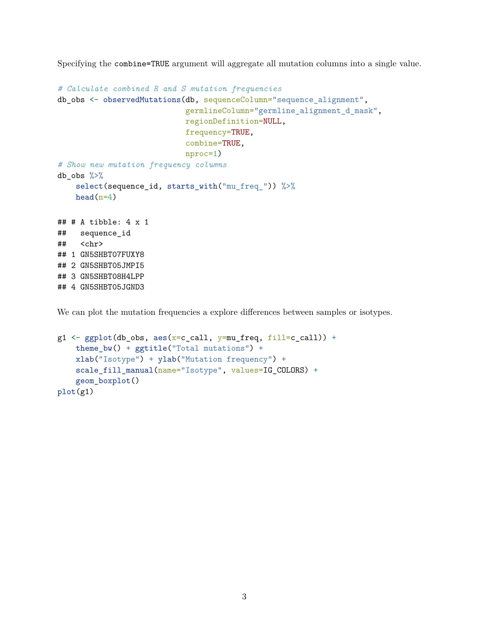Specifying the combine=TRUE argument will aggregate all mutation columns into a single value.

```
# Calculate combined R and S mutation frequencies
db_obs <- observedMutations(db, sequenceColumn="sequence_alignment",
                            germlineColumn="germline_alignment_d_mask",
                            regionDefinition=NULL,
                            frequency=TRUE,
                            combine=TRUE,
                            nproc=1)
# Show new mutation frequency columns
db_obs \frac{9}{2}select(sequence_id, starts_with("mu_freq_")) %>%
    head(n=4)\# \# A tibble: 4 x 1
## sequence_id
## <chr>
## 1 GN5SHBT07FUXY8
## 2 GN5SHBT05JMPI5
## 3 GN5SHBT08H4LPP
## 4 GN5SHBT05JGND3
```
We can plot the mutation frequencies a explore differences between samples or isotypes.

```
g1 \leftarrow ggplot(db_obs, aes(x=c_call, y=mu_freq, fill=c_call)) +theme_bw() + ggtitle("Total mutations") +
    xlab("Isotype") + ylab("Mutation frequency") +
    scale_fill_manual(name="Isotype", values=IG_COLORS) +
    geom_boxplot()
plot(g1)
```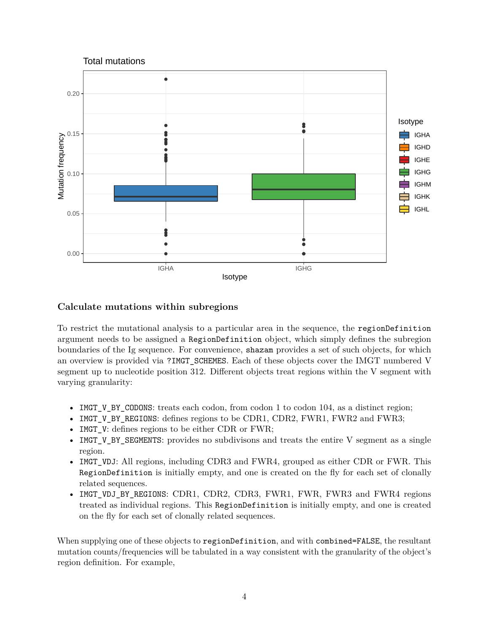

### <span id="page-3-0"></span>**Calculate mutations within subregions**

To restrict the mutational analysis to a particular area in the sequence, the regionDefinition argument needs to be assigned a RegionDefinition object, which simply defines the subregion boundaries of the Ig sequence. For convenience, shazam provides a set of such objects, for which an overview is provided via ?IMGT\_SCHEMES. Each of these objects cover the IMGT numbered V segment up to nucleotide position 312. Different objects treat regions within the V segment with varying granularity:

- IMGT\_V\_BY\_CODONS: treats each codon, from codon 1 to codon 104, as a distinct region;
- IMGT\_V\_BY\_REGIONS: defines regions to be CDR1, CDR2, FWR1, FWR2 and FWR3;
- IMGT\_V: defines regions to be either CDR or FWR;
- IMGT V BY SEGMENTS: provides no subdivisons and treats the entire V segment as a single region.
- IMGT\_VDJ: All regions, including CDR3 and FWR4, grouped as either CDR or FWR. This RegionDefinition is initially empty, and one is created on the fly for each set of clonally related sequences.
- IMGT VDJ BY REGIONS: CDR1, CDR2, CDR3, FWR1, FWR, FWR3 and FWR4 regions treated as individual regions. This RegionDefinition is initially empty, and one is created on the fly for each set of clonally related sequences.

When supplying one of these objects to regionDefinition, and with combined=FALSE, the resultant mutation counts/frequencies will be tabulated in a way consistent with the granularity of the object's region definition. For example,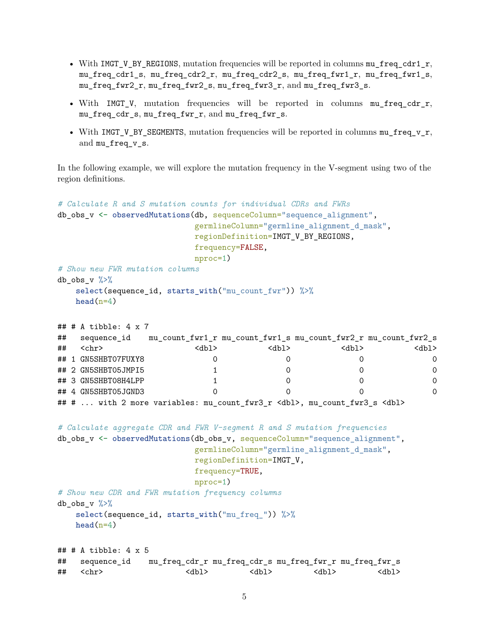- With IMGT\_V\_BY\_REGIONS, mutation frequencies will be reported in columns mu\_freq\_cdr1\_r, mu\_freq\_cdr1\_s, mu\_freq\_cdr2\_r, mu\_freq\_cdr2\_s, mu\_freq\_fwr1\_r, mu\_freq\_fwr1\_s, mu\_freq\_fwr2\_r, mu\_freq\_fwr2\_s, mu\_freq\_fwr3\_r, and mu\_freq\_fwr3\_s.
- With IMGT V, mutation frequencies will be reported in columns mu\_freq\_cdr\_r, mu\_freq\_cdr\_s, mu\_freq\_fwr\_r, and mu\_freq\_fwr\_s.
- With  $IMGT_V_BY_SEGMENTS$ , mutation frequencies will be reported in columns  $mu_freq_v_r$ , and mu\_freq\_v\_s.

In the following example, we will explore the mutation frequency in the V-segment using two of the region definitions.

```
# Calculate R and S mutation counts for individual CDRs and FWRs
db_obs_v <- observedMutations(db, sequenceColumn="sequence_alignment",
                       germlineColumn="germline_alignment_d_mask",
                       regionDefinition=IMGT_V_BY_REGIONS,
                       frequency=FALSE,
                       nproc=1)
# Show new FWR mutation columns
db obs v \sqrt[9]{x}select(sequence_id, starts_with("mu_count_fwr")) %>%
   head(n=4)## # A tibble: 4 x 7
## sequence_id mu_count_fwr1_r mu_count_fwr1_s mu_count_fwr2_r mu_count_fwr2_s
## <chr> <dbl> <dbl> <dbl> <dbl>
## 1 GN5SHBT07FUXY8 0 0 0 0
## 2 GN5SHBT05JMPI5 1 0 0 0
## 3 GN5SHBT08H4LPP 1 0 0 0
## 4 GN5SHBT05JGND3 0 0 0 0
## # ... with 2 more variables: mu_count_fwr3_r <dbl>, mu_count_fwr3_s <dbl>
# Calculate aggregate CDR and FWR V-segment R and S mutation frequencies
db_obs_v <- observedMutations(db_obs_v, sequenceColumn="sequence_alignment",
                       germlineColumn="germline_alignment_d_mask",
                       regionDefinition=IMGT_V,
                       frequency=TRUE,
                       nproc=1)
# Show new CDR and FWR mutation frequency columns
db obs v \sqrt[9]{x}select(sequence_id, starts_with("mu_freq_")) %>%
   head(n=4)## # A tibble: 4 x 5
## sequence_id mu_freq_cdr_r mu_freq_cdr_s mu_freq_fwr_r mu_freq_fwr_s
## <chr> <dbl> <dbl> <dbl> <dbl>
```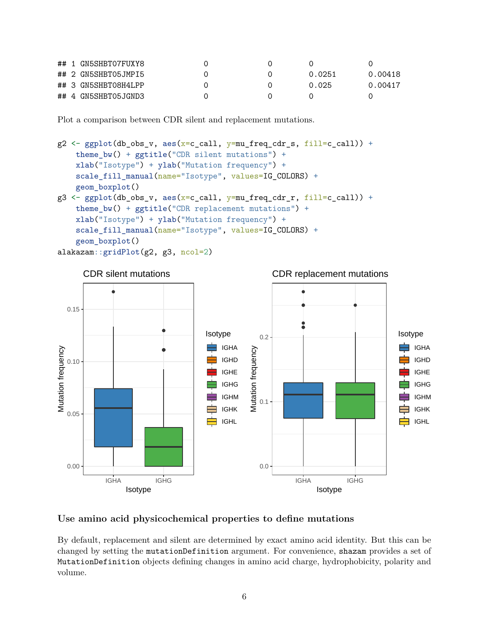|  | ## 1 GN5SHBT07FUXY8 |  |        |         |
|--|---------------------|--|--------|---------|
|  | ## 2 GN5SHBT05JMPI5 |  | 0.0251 | 0.00418 |
|  | ## 3 GN5SHBT08H4LPP |  | 0.025  | 0.00417 |
|  | ## 4 GN5SHBT05JGND3 |  |        |         |

Plot a comparison between CDR silent and replacement mutations.

```
g2 \leftarrow ggplot(db_obs_v, aes(x=c_call, y=mu_freq_cdr_s, fill=c_call)) +theme_bw() + ggtitle("CDR silent mutations") +xlab("Isotype") + ylab("Mutation frequency") +
    scale_fill_manual(name="Isotype", values=IG_COLORS) +
    geom_boxplot()
g3 \leftarrow ggplot(db_obs_v, aes(x=c_call, y=mu_freq_cdr_r, fill=c_call)) +theme_bw() + ggtitle("CDR replacement mutations") +
    xlab("Isotype") + ylab("Mutation frequency") +
    scale_fill_manual(name="Isotype", values=IG_COLORS) +
    geom_boxplot()
alakazam::gridPlot(g2, g3, ncol=2)
```


## <span id="page-5-0"></span>**Use amino acid physicochemical properties to define mutations**

By default, replacement and silent are determined by exact amino acid identity. But this can be changed by setting the mutationDefinition argument. For convenience, shazam provides a set of MutationDefinition objects defining changes in amino acid charge, hydrophobicity, polarity and volume.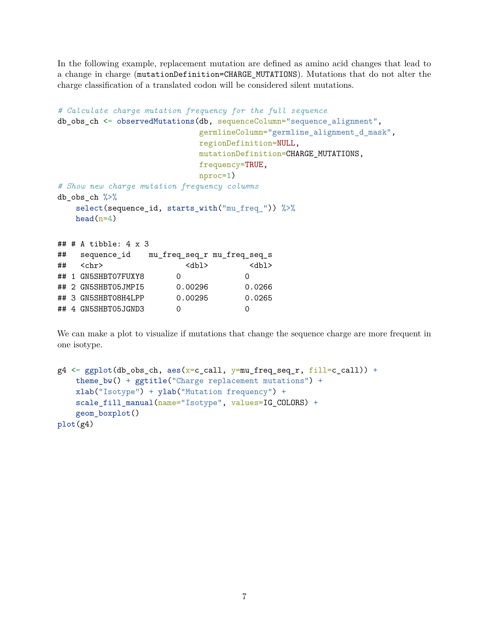In the following example, replacement mutation are defined as amino acid changes that lead to a change in charge (mutationDefinition=CHARGE\_MUTATIONS). Mutations that do not alter the charge classification of a translated codon will be considered silent mutations.

```
# Calculate charge mutation frequency for the full sequence
db_obs_ch <- observedMutations(db, sequenceColumn="sequence_alignment",
                           germlineColumn="germline_alignment_d_mask",
                           regionDefinition=NULL,
                           mutationDefinition=CHARGE_MUTATIONS,
                           frequency=TRUE,
                           nproc=1)
# Show new charge mutation frequency columns
db_obs_ch %>%
   select(sequence_id, starts_with("mu_freq_")) %>%
   head(n=4)## # A tibble: 4 x 3
## sequence_id mu_freq_seq_r mu_freq_seq_s
## <chr> <dbl> <dbl>
## 1 GN5SHBT07FUXY8 0 0
## 2 GN5SHBT05JMPI5 0.00296 0.0266
## 3 GN5SHBT08H4LPP 0.00295 0.0265
## 4 GN5SHBT05JGND3 0 0
```
We can make a plot to visualize if mutations that change the sequence charge are more frequent in one isotype.

```
g4 \leftarrow ggplot(db_obs_ch, aes(x=c_call, y=mu_freq_seq_r, fill=c_call)) +theme_bw() + ggtitle("Charge replacement mutations") +
    xlab("Isotype") + ylab("Mutation frequency") +
    scale_fill_manual(name="Isotype", values=IG_COLORS) +
    geom_boxplot()
plot(g4)
```